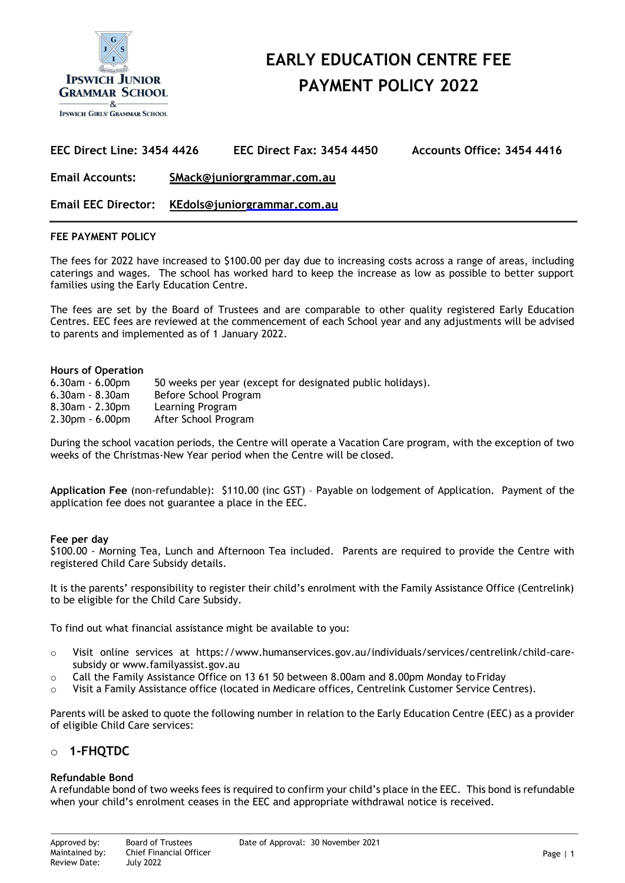

**IPSWICH GIRLS' GRAMMAR SCHOOL** 

# **EARLY EDUCATION CENTRE FEE PAYMENT POLICY 2022**

| <b>EEC Direct Line: 3454 4426</b> | <b>EEC Direct Fax: 3454 4450</b> | Accounts Office: 3454 4416 |
|-----------------------------------|----------------------------------|----------------------------|
|                                   |                                  |                            |

# **Email Accounts: SMack@juniorgrammar.com.au**

**Email EEC Director: [KEdols@juniorg](mailto:KEdols@junior)rammar.com.au**

#### **FEE PAYMENT POLICY**

The fees for 2022 have increased to \$100.00 per day due to increasing costs across a range of areas, including caterings and wages. The school has worked hard to keep the increase as low as possible to better support families using the Early Education Centre.

The fees are set by the Board of Trustees and are comparable to other quality registered Early Education Centres. EEC fees are reviewed at the commencement of each School year and any adjustments will be advised to parents and implemented as of 1 January 2022.

#### **Hours of Operation**

| $6.30am - 6.00pm$     | 50 weeks per year (except for designated public holidays). |
|-----------------------|------------------------------------------------------------|
| $6.30$ am - $8.30$ am | Before School Program                                      |
| $8.30$ am - 2.30pm    | Learning Program                                           |
| $2.30pm - 6.00pm$     | After School Program                                       |

During the school vacation periods, the Centre will operate a Vacation Care program, with the exception of two weeks of the Christmas-New Year period when the Centre will be closed.

**Application Fee** (non-refundable): \$110.00 (inc GST) – Payable on lodgement of Application. Payment of the application fee does not guarantee a place in the EEC.

#### **Fee per day**

\$100.00 - Morning Tea, Lunch and Afternoon Tea included. Parents are required to provide the Centre with registered Child Care Subsidy details.

It is the parents' responsibility to register their child's enrolment with the Family Assistance Office (Centrelink) to be eligible for the Child Care Subsidy.

To find out what financial assistance might be available to you:

- o Visit online services at [https://www.humanservices.gov.au/individuals/services/centrelink/child-c](http://www.humanservices.gov.au/individuals/services/centrelink/child-)aresubsidy or [www.familyassist.gov.au](http://www.familyassist.gov.au/)
- $\circ$  Call the Family Assistance Office on 13 61 50 between 8.00am and 8.00pm Monday to Friday
- o Visit a Family Assistance office (located in Medicare offices, Centrelink Customer Service Centres).

Parents will be asked to quote the following number in relation to the Early Education Centre (EEC) as a provider of eligible Child Care services:

# o **1-FHQTDC**

## **Refundable Bond**

A refundable bond of two weeks fees is required to confirm your child's place in the EEC. This bond is refundable when your child's enrolment ceases in the EEC and appropriate withdrawal notice is received.